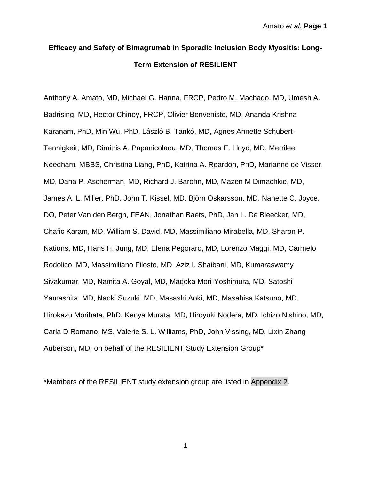# **Efficacy and Safety of Bimagrumab in Sporadic Inclusion Body Myositis: Long-Term Extension of RESILIENT**

Anthony A. Amato, MD, Michael G. Hanna, FRCP, Pedro M. Machado, MD, Umesh A. Badrising, MD, Hector Chinoy, FRCP, Olivier Benveniste, MD, Ananda Krishna Karanam, PhD, Min Wu, PhD, László B. Tankó, MD, Agnes Annette Schubert-Tennigkeit, MD, Dimitris A. Papanicolaou, MD, Thomas E. Lloyd, MD, Merrilee Needham, MBBS, Christina Liang, PhD, Katrina A. Reardon, PhD, Marianne de Visser, MD, Dana P. Ascherman, MD, Richard J. Barohn, MD, Mazen M Dimachkie, MD, James A. L. Miller, PhD, John T. Kissel, MD, Björn Oskarsson, MD, Nanette C. Joyce, DO, Peter Van den Bergh, FEAN, Jonathan Baets, PhD, Jan L. De Bleecker, MD, Chafic Karam, MD, William S. David, MD, Massimiliano Mirabella, MD, Sharon P. Nations, MD, Hans H. Jung, MD, Elena Pegoraro, MD, Lorenzo Maggi, MD, Carmelo Rodolico, MD, Massimiliano Filosto, MD, Aziz I. Shaibani, MD, Kumaraswamy Sivakumar, MD, Namita A. Goyal, MD, Madoka Mori-Yoshimura, MD, Satoshi Yamashita, MD, Naoki Suzuki, MD, Masashi Aoki, MD, Masahisa Katsuno, MD, Hirokazu Morihata, PhD, Kenya Murata, MD, Hiroyuki Nodera, MD, Ichizo Nishino, MD, Carla D Romano, MS, Valerie S. L. Williams, PhD, John Vissing, MD, Lixin Zhang Auberson, MD, on behalf of the RESILIENT Study Extension Group\*

\*Members of the RESILIENT study extension group are listed in Appendix 2.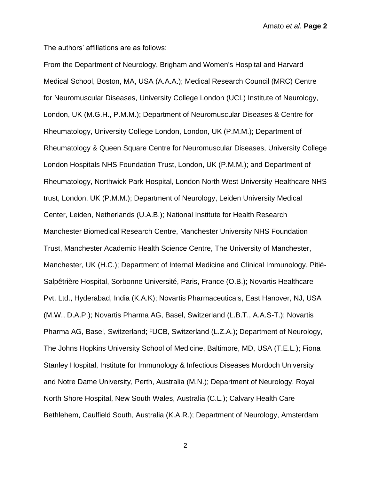Amato *et al.* **Page 2**

The authors' affiliations are as follows:

From the Department of Neurology, Brigham and Women's Hospital and Harvard Medical School, Boston, MA, USA (A.A.A.); Medical Research Council (MRC) Centre for Neuromuscular Diseases, University College London (UCL) Institute of Neurology, London, UK (M.G.H., P.M.M.); Department of Neuromuscular Diseases & Centre for Rheumatology, University College London, London, UK (P.M.M.); Department of Rheumatology & Queen Square Centre for Neuromuscular Diseases, University College London Hospitals NHS Foundation Trust, London, UK (P.M.M.); and Department of Rheumatology, Northwick Park Hospital, London North West University Healthcare NHS trust, London, UK (P.M.M.); Department of Neurology, Leiden University Medical Center, Leiden, Netherlands (U.A.B.); National Institute for Health Research Manchester Biomedical Research Centre, Manchester University NHS Foundation Trust, Manchester Academic Health Science Centre, The University of Manchester, Manchester, UK (H.C.); Department of Internal Medicine and Clinical Immunology, Pitié-Salpêtrière Hospital, Sorbonne Université, Paris, France (O.B.); Novartis Healthcare Pvt. Ltd., Hyderabad, India (K.A.K); Novartis Pharmaceuticals, East Hanover, NJ, USA (M.W., D.A.P.); Novartis Pharma AG, Basel, Switzerland (L.B.T., A.A.S-T.); Novartis Pharma AG, Basel, Switzerland; ‡UCB, Switzerland (L.Z.A.); Department of Neurology, The Johns Hopkins University School of Medicine, Baltimore, MD, USA (T.E.L.); Fiona Stanley Hospital, Institute for Immunology & Infectious Diseases Murdoch University and Notre Dame University, Perth, Australia (M.N.); Department of Neurology, Royal North Shore Hospital, New South Wales, Australia (C.L.); Calvary Health Care Bethlehem, Caulfield South, Australia (K.A.R.); Department of Neurology, Amsterdam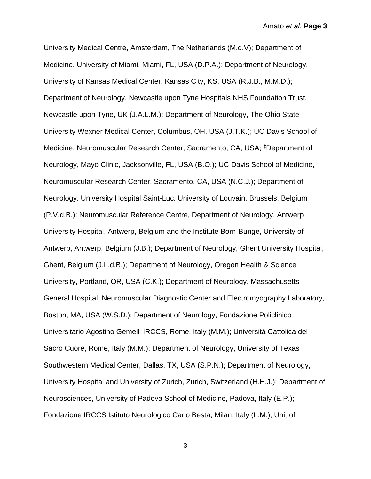University Medical Centre, Amsterdam, The Netherlands (M.d.V); Department of Medicine, University of Miami, Miami, FL, USA (D.P.A.); Department of Neurology, University of Kansas Medical Center, Kansas City, KS, USA (R.J.B., M.M.D.); Department of Neurology, Newcastle upon Tyne Hospitals NHS Foundation Trust, Newcastle upon Tyne, UK (J.A.L.M.); Department of Neurology, The Ohio State University Wexner Medical Center, Columbus, OH, USA (J.T.K.); UC Davis School of Medicine, Neuromuscular Research Center, Sacramento, CA, USA; ‡Department of Neurology, Mayo Clinic, Jacksonville, FL, USA (B.O.); UC Davis School of Medicine, Neuromuscular Research Center, Sacramento, CA, USA (N.C.J.); Department of Neurology, University Hospital Saint-Luc, University of Louvain, Brussels, Belgium (P.V.d.B.); Neuromuscular Reference Centre, Department of Neurology, Antwerp University Hospital, Antwerp, Belgium and the Institute Born-Bunge, University of Antwerp, Antwerp, Belgium (J.B.); Department of Neurology, Ghent University Hospital, Ghent, Belgium (J.L.d.B.); Department of Neurology, Oregon Health & Science University, Portland, OR, USA (C.K.); Department of Neurology, Massachusetts General Hospital, Neuromuscular Diagnostic Center and Electromyography Laboratory, Boston, MA, USA (W.S.D.); Department of Neurology, Fondazione Policlinico Universitario Agostino Gemelli IRCCS, Rome, Italy (M.M.); Università Cattolica del Sacro Cuore, Rome, Italy (M.M.); Department of Neurology, University of Texas Southwestern Medical Center, Dallas, TX, USA (S.P.N.); Department of Neurology, University Hospital and University of Zurich, Zurich, Switzerland (H.H.J.); Department of Neurosciences, University of Padova School of Medicine, Padova, Italy (E.P.); Fondazione IRCCS Istituto Neurologico Carlo Besta, Milan, Italy (L.M.); Unit of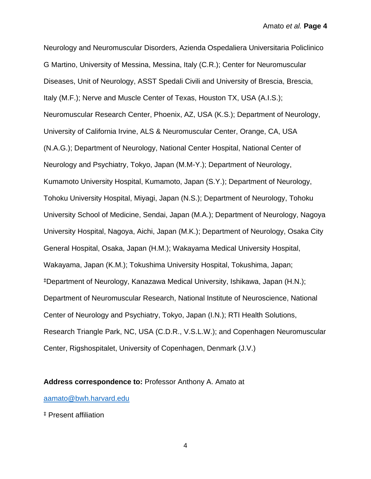Neurology and Neuromuscular Disorders, Azienda Ospedaliera Universitaria Policlinico G Martino, University of Messina, Messina, Italy (C.R.); Center for Neuromuscular Diseases, Unit of Neurology, ASST Spedali Civili and University of Brescia, Brescia, Italy (M.F.); Nerve and Muscle Center of Texas, Houston TX, USA (A.I.S.); Neuromuscular Research Center, Phoenix, AZ, USA (K.S.); Department of Neurology, University of California Irvine, ALS & Neuromuscular Center, Orange, CA, USA (N.A.G.); Department of Neurology, National Center Hospital, National Center of Neurology and Psychiatry, Tokyo, Japan (M.M-Y.); Department of Neurology, Kumamoto University Hospital, Kumamoto, Japan (S.Y.); Department of Neurology, Tohoku University Hospital, Miyagi, Japan (N.S.); Department of Neurology, Tohoku University School of Medicine, Sendai, Japan (M.A.); Department of Neurology, Nagoya University Hospital, Nagoya, Aichi, Japan (M.K.); Department of Neurology, Osaka City General Hospital, Osaka, Japan (H.M.); Wakayama Medical University Hospital, Wakayama, Japan (K.M.); Tokushima University Hospital, Tokushima, Japan; ‡Department of Neurology, Kanazawa Medical University, Ishikawa, Japan (H.N.); Department of Neuromuscular Research, National Institute of Neuroscience, National Center of Neurology and Psychiatry, Tokyo, Japan (I.N.); RTI Health Solutions, Research Triangle Park, NC, USA (C.D.R., V.S.L.W.); and Copenhagen Neuromuscular Center, Rigshospitalet, University of Copenhagen, Denmark (J.V.)

## **Address correspondence to:** Professor Anthony A. Amato at

#### [aamato@bwh.harvard.edu](mailto:aamato@bwh.harvard.edu)

# ‡ Present affiliation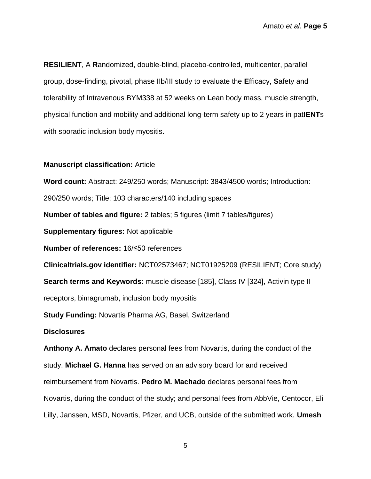**RESILIENT**, A **R**andomized, double-blind, placebo-controlled, multicenter, parallel group, dose-finding, pivotal, phase IIb/III study to evaluate the **E**fficacy, **S**afety and tolerability of **I**ntravenous BYM338 at 52 weeks on **L**ean body mass, muscle strength, physical function and mobility and additional long-term safety up to 2 years in pat**IENT**s with sporadic inclusion body myositis.

# **Manuscript classification:** Article

**Word count:** Abstract: 249/250 words; Manuscript: 3843/4500 words; Introduction: 290/250 words; Title: 103 characters/140 including spaces **Number of tables and figure:** 2 tables; 5 figures (limit 7 tables/figures) **Supplementary figures:** Not applicable **Number of references:** 16/≤50 references **Clinicaltrials.gov identifier:** NCT02573467; NCT01925209 (RESILIENT; Core study) **Search terms and Keywords:** muscle disease [185], Class IV [324], Activin type II receptors, bimagrumab, inclusion body myositis **Study Funding:** Novartis Pharma AG, Basel, Switzerland **Disclosures Anthony A. Amato** declares personal fees from Novartis, during the conduct of the study. **Michael G. Hanna** has served on an advisory board for and received reimbursement from Novartis. **Pedro M. Machado** declares personal fees from Novartis, during the conduct of the study; and personal fees from AbbVie, Centocor, Eli

Lilly, Janssen, MSD, Novartis, Pfizer, and UCB, outside of the submitted work. **Umesh**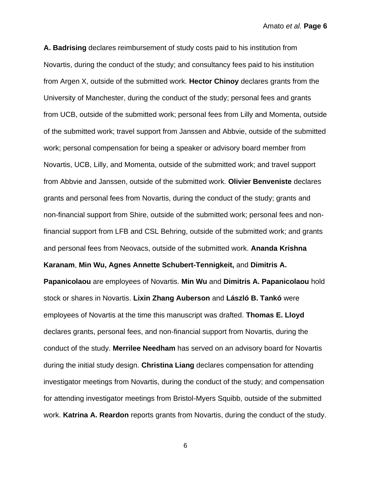**A. Badrising** declares reimbursement of study costs paid to his institution from Novartis, during the conduct of the study; and consultancy fees paid to his institution from Argen X, outside of the submitted work. **Hector Chinoy** declares grants from the University of Manchester, during the conduct of the study; personal fees and grants from UCB, outside of the submitted work; personal fees from Lilly and Momenta, outside of the submitted work; travel support from Janssen and Abbvie, outside of the submitted work; personal compensation for being a speaker or advisory board member from Novartis, UCB, Lilly, and Momenta, outside of the submitted work; and travel support from Abbvie and Janssen, outside of the submitted work. **Olivier Benveniste** declares grants and personal fees from Novartis, during the conduct of the study; grants and non-financial support from Shire, outside of the submitted work; personal fees and nonfinancial support from LFB and CSL Behring, outside of the submitted work; and grants and personal fees from Neovacs, outside of the submitted work. **Ananda Krishna Karanam**, **Min Wu, Agnes Annette Schubert-Tennigkeit,** and **Dimitris A. Papanicolaou** are employees of Novartis. **Min Wu** and **Dimitris A. Papanicolaou** hold stock or shares in Novartis. **Lixin Zhang Auberson** and **László B. Tankó** were employees of Novartis at the time this manuscript was drafted. **Thomas E. Lloyd** declares grants, personal fees, and non-financial support from Novartis, during the conduct of the study. **Merrilee Needham** has served on an advisory board for Novartis during the initial study design. **Christina Liang** declares compensation for attending investigator meetings from Novartis, during the conduct of the study; and compensation for attending investigator meetings from Bristol-Myers Squibb, outside of the submitted work. **Katrina A. Reardon** reports grants from Novartis, during the conduct of the study.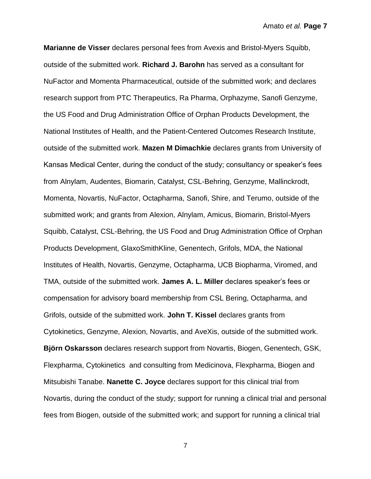**Marianne de Visser** declares personal fees from Avexis and Bristol-Myers Squibb, outside of the submitted work. **Richard J. Barohn** has served as a consultant for NuFactor and Momenta Pharmaceutical, outside of the submitted work; and declares research support from PTC Therapeutics, Ra Pharma, Orphazyme, Sanofi Genzyme, the US Food and Drug Administration Office of Orphan Products Development, the National Institutes of Health, and the Patient-Centered Outcomes Research Institute, outside of the submitted work. **Mazen M Dimachkie** declares grants from University of Kansas Medical Center, during the conduct of the study; consultancy or speaker's fees from Alnylam, Audentes, Biomarin, Catalyst, CSL-Behring, Genzyme, Mallinckrodt, Momenta, Novartis, NuFactor, Octapharma, Sanofi, Shire, and Terumo, outside of the submitted work; and grants from Alexion, Alnylam, Amicus, Biomarin, Bristol-Myers Squibb, Catalyst, CSL-Behring, the US Food and Drug Administration Office of Orphan Products Development, GlaxoSmithKline, Genentech, Grifols, MDA, the National Institutes of Health, Novartis, Genzyme, Octapharma, UCB Biopharma, Viromed, and TMA, outside of the submitted work. **James A. L. Miller** declares speaker's fees or compensation for advisory board membership from CSL Bering, Octapharma, and Grifols, outside of the submitted work. **John T. Kissel** declares grants from Cytokinetics, Genzyme, Alexion, Novartis, and AveXis, outside of the submitted work. **Björn Oskarsson** declares research support from Novartis, Biogen, Genentech, GSK, Flexpharma, Cytokinetics and consulting from Medicinova, Flexpharma, Biogen and Mitsubishi Tanabe. **Nanette C. Joyce** declares support for this clinical trial from Novartis, during the conduct of the study; support for running a clinical trial and personal fees from Biogen, outside of the submitted work; and support for running a clinical trial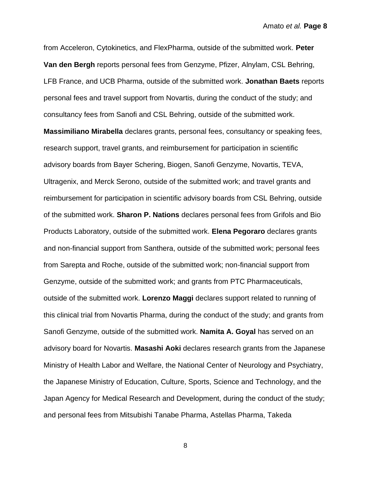from Acceleron, Cytokinetics, and FlexPharma, outside of the submitted work. **Peter Van den Bergh** reports personal fees from Genzyme, Pfizer, Alnylam, CSL Behring, LFB France, and UCB Pharma, outside of the submitted work. **Jonathan Baets** reports personal fees and travel support from Novartis, during the conduct of the study; and consultancy fees from Sanofi and CSL Behring, outside of the submitted work. **Massimiliano Mirabella** declares grants, personal fees, consultancy or speaking fees, research support, travel grants, and reimbursement for participation in scientific advisory boards from Bayer Schering, Biogen, Sanofi Genzyme, Novartis, TEVA, Ultragenix, and Merck Serono, outside of the submitted work; and travel grants and reimbursement for participation in scientific advisory boards from CSL Behring, outside of the submitted work. **Sharon P. Nations** declares personal fees from Grifols and Bio Products Laboratory, outside of the submitted work. **Elena Pegoraro** declares grants and non-financial support from Santhera, outside of the submitted work; personal fees from Sarepta and Roche, outside of the submitted work; non-financial support from Genzyme, outside of the submitted work; and grants from PTC Pharmaceuticals, outside of the submitted work. **Lorenzo Maggi** declares support related to running of this clinical trial from Novartis Pharma, during the conduct of the study; and grants from Sanofi Genzyme, outside of the submitted work. **Namita A. Goyal** has served on an advisory board for Novartis. **Masashi Aoki** declares research grants from the Japanese Ministry of Health Labor and Welfare, the National Center of Neurology and Psychiatry, the Japanese Ministry of Education, Culture, Sports, Science and Technology, and the Japan Agency for Medical Research and Development, during the conduct of the study; and personal fees from Mitsubishi Tanabe Pharma, Astellas Pharma, Takeda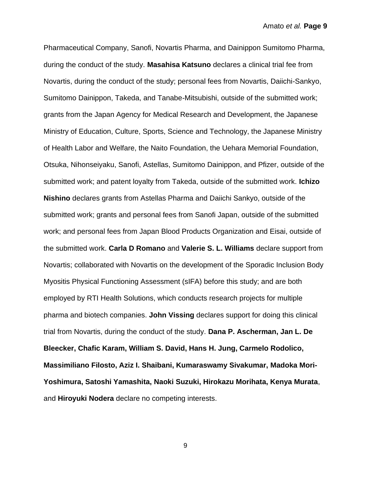Pharmaceutical Company, Sanofi, Novartis Pharma, and Dainippon Sumitomo Pharma, during the conduct of the study. **Masahisa Katsuno** declares a clinical trial fee from Novartis, during the conduct of the study; personal fees from Novartis, Daiichi-Sankyo, Sumitomo Dainippon, Takeda, and Tanabe-Mitsubishi, outside of the submitted work; grants from the Japan Agency for Medical Research and Development, the Japanese Ministry of Education, Culture, Sports, Science and Technology, the Japanese Ministry of Health Labor and Welfare, the Naito Foundation, the Uehara Memorial Foundation, Otsuka, Nihonseiyaku, Sanofi, Astellas, Sumitomo Dainippon, and Pfizer, outside of the submitted work; and patent loyalty from Takeda, outside of the submitted work. **Ichizo Nishino** declares grants from Astellas Pharma and Daiichi Sankyo, outside of the submitted work; grants and personal fees from Sanofi Japan, outside of the submitted work; and personal fees from Japan Blood Products Organization and Eisai, outside of the submitted work. **Carla D Romano** and **Valerie S. L. Williams** declare support from Novartis; collaborated with Novartis on the development of the Sporadic Inclusion Body Myositis Physical Functioning Assessment (sIFA) before this study; and are both employed by RTI Health Solutions, which conducts research projects for multiple pharma and biotech companies. **John Vissing** declares support for doing this clinical trial from Novartis, during the conduct of the study. **Dana P. Ascherman, Jan L. De Bleecker, Chafic Karam, William S. David, Hans H. Jung, Carmelo Rodolico, Massimiliano Filosto, Aziz I. Shaibani, Kumaraswamy Sivakumar, Madoka Mori-Yoshimura, Satoshi Yamashita, Naoki Suzuki, Hirokazu Morihata, Kenya Murata**, and **Hiroyuki Nodera** declare no competing interests.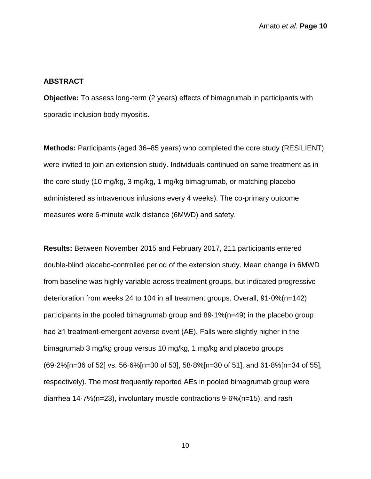## **ABSTRACT**

**Objective:** To assess long-term (2 years) effects of bimagrumab in participants with sporadic inclusion body myositis.

**Methods:** Participants (aged 36–85 years) who completed the core study (RESILIENT) were invited to join an extension study. Individuals continued on same treatment as in the core study (10 mg/kg, 3 mg/kg, 1 mg/kg bimagrumab, or matching placebo administered as intravenous infusions every 4 weeks). The co-primary outcome measures were 6-minute walk distance (6MWD) and safety.

**Results:** Between November 2015 and February 2017, 211 participants entered double-blind placebo-controlled period of the extension study. Mean change in 6MWD from baseline was highly variable across treatment groups, but indicated progressive deterioration from weeks 24 to 104 in all treatment groups. Overall, 91·0%(n=142) participants in the pooled bimagrumab group and 89·1%(n=49) in the placebo group had ≥1 treatment-emergent adverse event (AE). Falls were slightly higher in the bimagrumab 3 mg/kg group versus 10 mg/kg, 1 mg/kg and placebo groups (69·2%[n=36 of 52] vs. 56·6%[n=30 of 53], 58·8%[n=30 of 51], and 61·8%[n=34 of 55], respectively). The most frequently reported AEs in pooled bimagrumab group were diarrhea 14·7%(n=23), involuntary muscle contractions 9·6%(n=15), and rash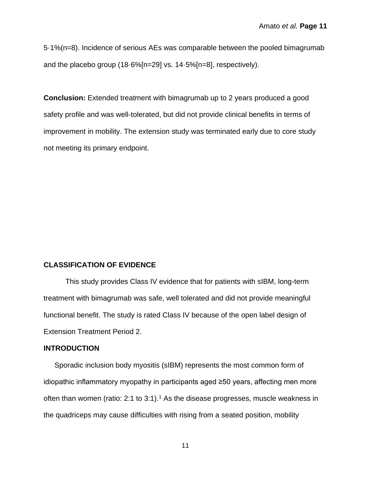5·1%(n=8). Incidence of serious AEs was comparable between the pooled bimagrumab and the placebo group (18·6%[n=29] vs. 14·5%[n=8], respectively).

**Conclusion:** Extended treatment with bimagrumab up to 2 years produced a good safety profile and was well-tolerated, but did not provide clinical benefits in terms of improvement in mobility. The extension study was terminated early due to core study not meeting its primary endpoint.

# **CLASSIFICATION OF EVIDENCE**

This study provides Class IV evidence that for patients with sIBM, long-term treatment with bimagrumab was safe, well tolerated and did not provide meaningful functional benefit. The study is rated Class IV because of the open label design of Extension Treatment Period 2.

#### **INTRODUCTION**

Sporadic inclusion body myositis (sIBM) represents the most common form of idiopathic inflammatory myopathy in participants aged ≥50 years, affecting men more often than women (ratio: 2:1 to 3:1).<sup>1</sup> As the disease progresses, muscle weakness in the quadriceps may cause difficulties with rising from a seated position, mobility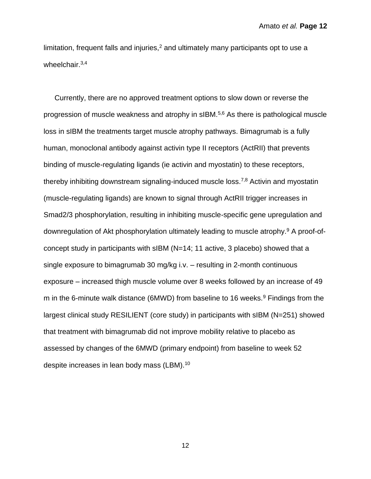limitation, frequent falls and injuries, $2$  and ultimately many participants opt to use a wheelchair. $3,4$ 

Currently, there are no approved treatment options to slow down or reverse the progression of muscle weakness and atrophy in sIBM.5,6 As there is pathological muscle loss in sIBM the treatments target muscle atrophy pathways. Bimagrumab is a fully human, monoclonal antibody against activin type II receptors (ActRII) that prevents binding of muscle-regulating ligands (ie activin and myostatin) to these receptors, thereby inhibiting downstream signaling-induced muscle loss.<sup>7,8</sup> Activin and myostatin (muscle-regulating ligands) are known to signal through ActRII trigger increases in Smad2/3 phosphorylation, resulting in inhibiting muscle-specific gene upregulation and downregulation of Akt phosphorylation ultimately leading to muscle atrophy.<sup>9</sup> A proof-ofconcept study in participants with sIBM (N=14; 11 active, 3 placebo) showed that a single exposure to bimagrumab 30 mg/kg i.v. – resulting in 2-month continuous exposure – increased thigh muscle volume over 8 weeks followed by an increase of 49 m in the 6-minute walk distance (6MWD) from baseline to 16 weeks.<sup>9</sup> Findings from the largest clinical study RESILIENT (core study) in participants with sIBM (N=251) showed that treatment with bimagrumab did not improve mobility relative to placebo as assessed by changes of the 6MWD (primary endpoint) from baseline to week 52 despite increases in lean body mass (LBM).<sup>10</sup>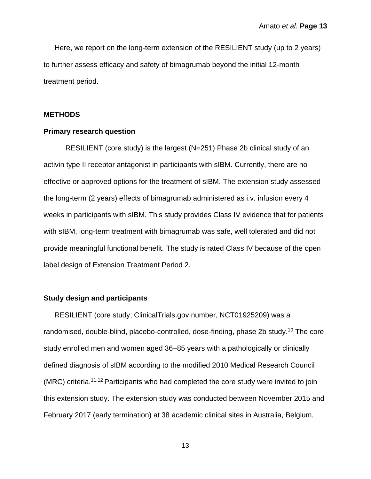Here, we report on the long-term extension of the RESILIENT study (up to 2 years) to further assess efficacy and safety of bimagrumab beyond the initial 12-month treatment period.

#### **METHODS**

# **Primary research question**

RESILIENT (core study) is the largest (N=251) Phase 2b clinical study of an activin type II receptor antagonist in participants with sIBM. Currently, there are no effective or approved options for the treatment of sIBM. The extension study assessed the long-term (2 years) effects of bimagrumab administered as i.v. infusion every 4 weeks in participants with sIBM. This study provides Class IV evidence that for patients with sIBM, long-term treatment with bimagrumab was safe, well tolerated and did not provide meaningful functional benefit. The study is rated Class IV because of the open label design of Extension Treatment Period 2.

#### **Study design and participants**

RESILIENT (core study; ClinicalTrials.gov number, NCT01925209) was a randomised, double-blind, placebo-controlled, dose-finding, phase 2b study.<sup>10</sup> The core study enrolled men and women aged 36–85 years with a pathologically or clinically defined diagnosis of sIBM according to the modified 2010 Medical Research Council (MRC) criteria.11,12 Participants who had completed the core study were invited to join this extension study. The extension study was conducted between November 2015 and February 2017 (early termination) at 38 academic clinical sites in Australia, Belgium,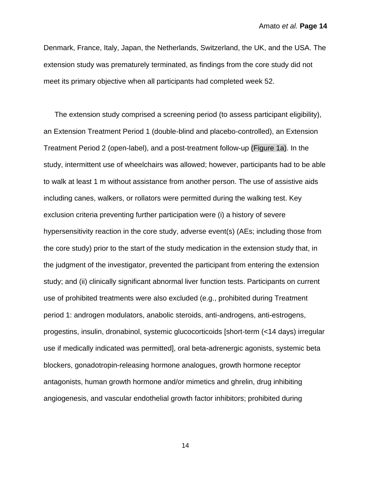Denmark, France, Italy, Japan, the Netherlands, Switzerland, the UK, and the USA. The extension study was prematurely terminated, as findings from the core study did not meet its primary objective when all participants had completed week 52.

The extension study comprised a screening period (to assess participant eligibility), an Extension Treatment Period 1 (double-blind and placebo-controlled), an Extension Treatment Period 2 (open-label), and a post-treatment follow-up (Figure 1a). In the study, intermittent use of wheelchairs was allowed; however, participants had to be able to walk at least 1 m without assistance from another person. The use of assistive aids including canes, walkers, or rollators were permitted during the walking test. Key exclusion criteria preventing further participation were (i) a history of severe hypersensitivity reaction in the core study, adverse event(s) (AEs; including those from the core study) prior to the start of the study medication in the extension study that, in the judgment of the investigator, prevented the participant from entering the extension study; and (ii) clinically significant abnormal liver function tests. Participants on current use of prohibited treatments were also excluded (e.g., prohibited during Treatment period 1: androgen modulators, anabolic steroids, anti-androgens, anti-estrogens, progestins, insulin, dronabinol, systemic glucocorticoids [short-term (<14 days) irregular use if medically indicated was permitted], oral beta-adrenergic agonists, systemic beta blockers, gonadotropin-releasing hormone analogues, growth hormone receptor antagonists, human growth hormone and/or mimetics and ghrelin, drug inhibiting angiogenesis, and vascular endothelial growth factor inhibitors; prohibited during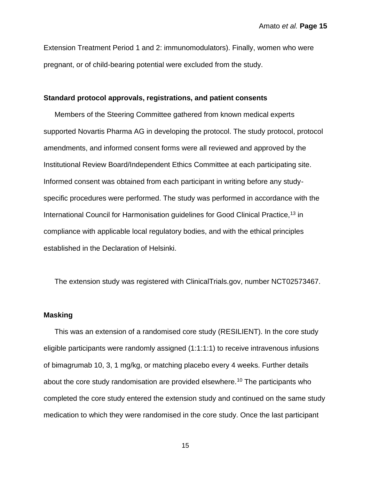Extension Treatment Period 1 and 2: immunomodulators). Finally, women who were pregnant, or of child-bearing potential were excluded from the study.

#### **Standard protocol approvals, registrations, and patient consents**

Members of the Steering Committee gathered from known medical experts supported Novartis Pharma AG in developing the protocol. The study protocol, protocol amendments, and informed consent forms were all reviewed and approved by the Institutional Review Board/Independent Ethics Committee at each participating site. Informed consent was obtained from each participant in writing before any studyspecific procedures were performed. The study was performed in accordance with the International Council for Harmonisation guidelines for Good Clinical Practice,<sup>13</sup> in compliance with applicable local regulatory bodies, and with the ethical principles established in the Declaration of Helsinki.

The extension study was registered with ClinicalTrials.gov, number NCT02573467.

#### **Masking**

This was an extension of a randomised core study (RESILIENT). In the core study eligible participants were randomly assigned (1:1:1:1) to receive intravenous infusions of bimagrumab 10, 3, 1 mg/kg, or matching placebo every 4 weeks. Further details about the core study randomisation are provided elsewhere.<sup>10</sup> The participants who completed the core study entered the extension study and continued on the same study medication to which they were randomised in the core study. Once the last participant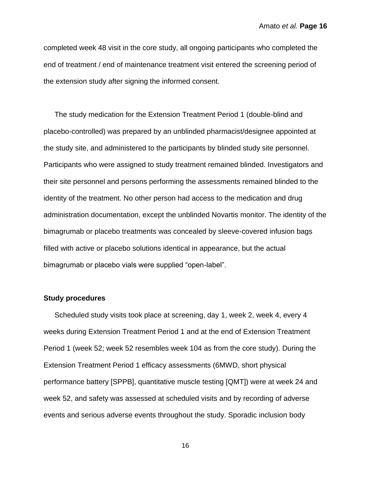completed week 48 visit in the core study, all ongoing participants who completed the end of treatment / end of maintenance treatment visit entered the screening period of the extension study after signing the informed consent.

The study medication for the Extension Treatment Period 1 (double-blind and placebo-controlled) was prepared by an unblinded pharmacist/designee appointed at the study site, and administered to the participants by blinded study site personnel. Participants who were assigned to study treatment remained blinded. Investigators and their site personnel and persons performing the assessments remained blinded to the identity of the treatment. No other person had access to the medication and drug administration documentation, except the unblinded Novartis monitor. The identity of the bimagrumab or placebo treatments was concealed by sleeve-covered infusion bags filled with active or placebo solutions identical in appearance, but the actual bimagrumab or placebo vials were supplied "open-label".

#### **Study procedures**

Scheduled study visits took place at screening, day 1, week 2, week 4, every 4 weeks during Extension Treatment Period 1 and at the end of Extension Treatment Period 1 (week 52; week 52 resembles week 104 as from the core study). During the Extension Treatment Period 1 efficacy assessments (6MWD, short physical performance battery [SPPB], quantitative muscle testing [QMT]) were at week 24 and week 52, and safety was assessed at scheduled visits and by recording of adverse events and serious adverse events throughout the study. Sporadic inclusion body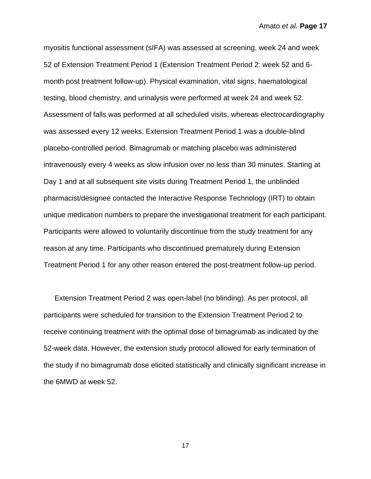myositis functional assessment (sIFA) was assessed at screening, week 24 and week 52 of Extension Treatment Period 1 (Extension Treatment Period 2: week 52 and 6 month post treatment follow-up). Physical examination, vital signs, haematological testing, blood chemistry, and urinalysis were performed at week 24 and week 52. Assessment of falls was performed at all scheduled visits, whereas electrocardiography was assessed every 12 weeks. Extension Treatment Period 1 was a double-blind placebo-controlled period. Bimagrumab or matching placebo was administered intravenously every 4 weeks as slow infusion over no less than 30 minutes. Starting at Day 1 and at all subsequent site visits during Treatment Period 1, the unblinded pharmacist/designee contacted the Interactive Response Technology (IRT) to obtain unique medication numbers to prepare the investigational treatment for each participant. Participants were allowed to voluntarily discontinue from the study treatment for any reason at any time. Participants who discontinued prematurely during Extension Treatment Period 1 for any other reason entered the post-treatment follow-up period.

Extension Treatment Period 2 was open-label (no blinding). As per protocol, all participants were scheduled for transition to the Extension Treatment Period 2 to receive continuing treatment with the optimal dose of bimagrumab as indicated by the 52-week data. However, the extension study protocol allowed for early termination of the study if no bimagrumab dose elicited statistically and clinically significant increase in the 6MWD at week 52.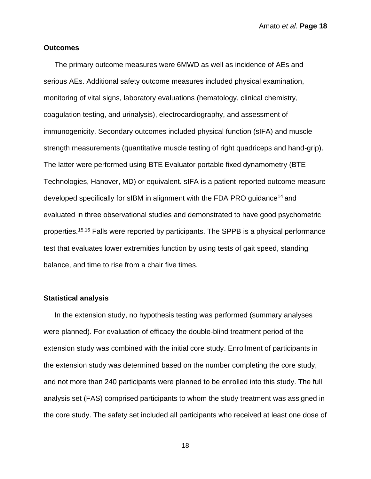Amato *et al.* **Page 18**

#### **Outcomes**

The primary outcome measures were 6MWD as well as incidence of AEs and serious AEs. Additional safety outcome measures included physical examination, monitoring of vital signs, laboratory evaluations (hematology, clinical chemistry, coagulation testing, and urinalysis), electrocardiography, and assessment of immunogenicity. Secondary outcomes included physical function (sIFA) and muscle strength measurements (quantitative muscle testing of right quadriceps and hand-grip). The latter were performed using BTE Evaluator portable fixed dynamometry (BTE Technologies, Hanover, MD) or equivalent. sIFA is a patient-reported outcome measure developed specifically for sIBM in alignment with the FDA PRO guidance<sup>14</sup> and evaluated in three observational studies and demonstrated to have good psychometric properties.15,16 Falls were reported by participants. The SPPB is a physical performance test that evaluates lower extremities function by using tests of gait speed, standing balance, and time to rise from a chair five times.

#### **Statistical analysis**

In the extension study, no hypothesis testing was performed (summary analyses were planned). For evaluation of efficacy the double-blind treatment period of the extension study was combined with the initial core study. Enrollment of participants in the extension study was determined based on the number completing the core study, and not more than 240 participants were planned to be enrolled into this study. The full analysis set (FAS) comprised participants to whom the study treatment was assigned in the core study. The safety set included all participants who received at least one dose of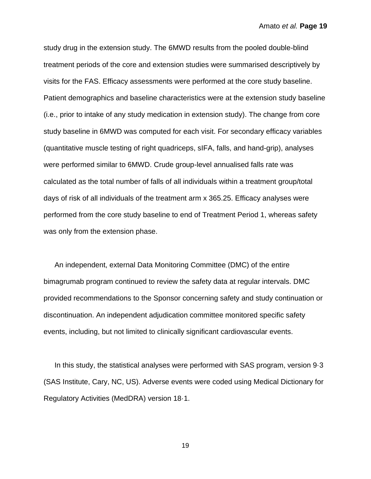study drug in the extension study. The 6MWD results from the pooled double-blind treatment periods of the core and extension studies were summarised descriptively by visits for the FAS. Efficacy assessments were performed at the core study baseline. Patient demographics and baseline characteristics were at the extension study baseline (i.e., prior to intake of any study medication in extension study). The change from core study baseline in 6MWD was computed for each visit. For secondary efficacy variables (quantitative muscle testing of right quadriceps, sIFA, falls, and hand-grip), analyses were performed similar to 6MWD. Crude group-level annualised falls rate was calculated as the total number of falls of all individuals within a treatment group/total days of risk of all individuals of the treatment arm x 365.25. Efficacy analyses were performed from the core study baseline to end of Treatment Period 1, whereas safety was only from the extension phase.

An independent, external Data Monitoring Committee (DMC) of the entire bimagrumab program continued to review the safety data at regular intervals. DMC provided recommendations to the Sponsor concerning safety and study continuation or discontinuation. An independent adjudication committee monitored specific safety events, including, but not limited to clinically significant cardiovascular events.

In this study, the statistical analyses were performed with SAS program, version 9·3 (SAS Institute, Cary, NC, US). Adverse events were coded using Medical Dictionary for Regulatory Activities (MedDRA) version 18·1.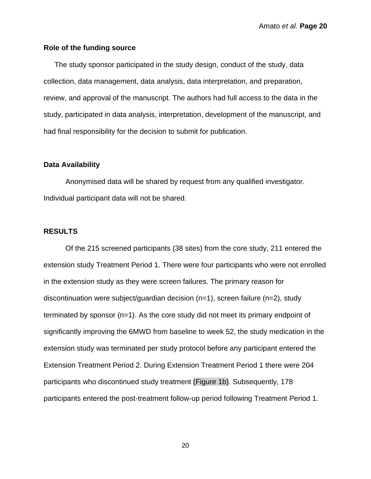#### **Role of the funding source**

The study sponsor participated in the study design, conduct of the study, data collection, data management, data analysis, data interpretation, and preparation, review, and approval of the manuscript. The authors had full access to the data in the study, participated in data analysis, interpretation, development of the manuscript, and had final responsibility for the decision to submit for publication.

#### **Data Availability**

Anonymised data will be shared by request from any qualified investigator. Individual participant data will not be shared.

## **RESULTS**

Of the 215 screened participants (38 sites) from the core study, 211 entered the extension study Treatment Period 1. There were four participants who were not enrolled in the extension study as they were screen failures. The primary reason for discontinuation were subject/guardian decision (n=1), screen failure (n=2), study terminated by sponsor  $(n=1)$ . As the core study did not meet its primary endpoint of significantly improving the 6MWD from baseline to week 52, the study medication in the extension study was terminated per study protocol before any participant entered the Extension Treatment Period 2. During Extension Treatment Period 1 there were 204 participants who discontinued study treatment (Figure 1b). Subsequently, 178 participants entered the post-treatment follow-up period following Treatment Period 1.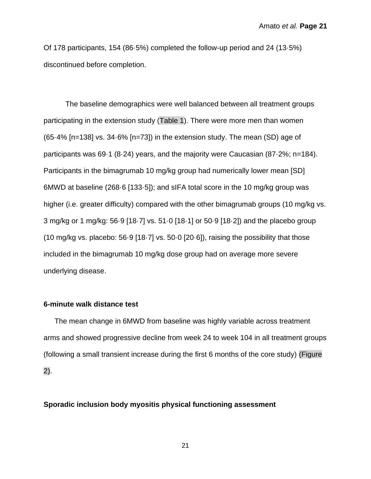Of 178 participants, 154 (86·5%) completed the follow-up period and 24 (13·5%) discontinued before completion.

The baseline demographics were well balanced between all treatment groups participating in the extension study (Table 1). There were more men than women (65·4% [n=138] vs. 34·6% [n=73]) in the extension study. The mean (SD) age of participants was 69·1 (8·24) years, and the majority were Caucasian (87·2%; n=184). Participants in the bimagrumab 10 mg/kg group had numerically lower mean [SD] 6MWD at baseline (268·6 [133·5]); and sIFA total score in the 10 mg/kg group was higher (i.e. greater difficulty) compared with the other bimagrumab groups (10 mg/kg vs. 3 mg/kg or 1 mg/kg: 56·9 [18·7] vs. 51·0 [18·1] or 50·9 [18·2]) and the placebo group (10 mg/kg vs. placebo: 56·9 [18·7] vs. 50·0 [20·6]), raising the possibility that those included in the bimagrumab 10 mg/kg dose group had on average more severe underlying disease.

# **6-minute walk distance test**

The mean change in 6MWD from baseline was highly variable across treatment arms and showed progressive decline from week 24 to week 104 in all treatment groups (following a small transient increase during the first 6 months of the core study) (Figure 2).

#### **Sporadic inclusion body myositis physical functioning assessment**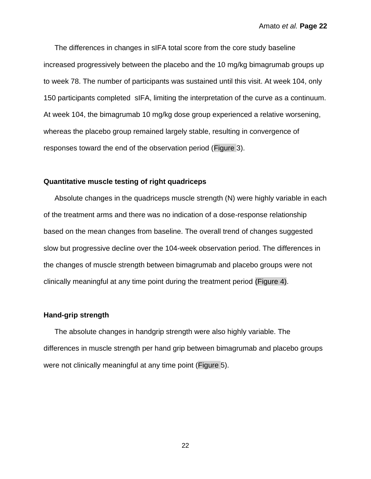The differences in changes in sIFA total score from the core study baseline increased progressively between the placebo and the 10 mg/kg bimagrumab groups up to week 78. The number of participants was sustained until this visit. At week 104, only 150 participants completed sIFA, limiting the interpretation of the curve as a continuum. At week 104, the bimagrumab 10 mg/kg dose group experienced a relative worsening, whereas the placebo group remained largely stable, resulting in convergence of responses toward the end of the observation period (Figure 3).

# **Quantitative muscle testing of right quadriceps**

Absolute changes in the quadriceps muscle strength (N) were highly variable in each of the treatment arms and there was no indication of a dose-response relationship based on the mean changes from baseline. The overall trend of changes suggested slow but progressive decline over the 104-week observation period. The differences in the changes of muscle strength between bimagrumab and placebo groups were not clinically meaningful at any time point during the treatment period (Figure 4).

#### **Hand-grip strength**

The absolute changes in handgrip strength were also highly variable. The differences in muscle strength per hand grip between bimagrumab and placebo groups were not clinically meaningful at any time point (Figure 5).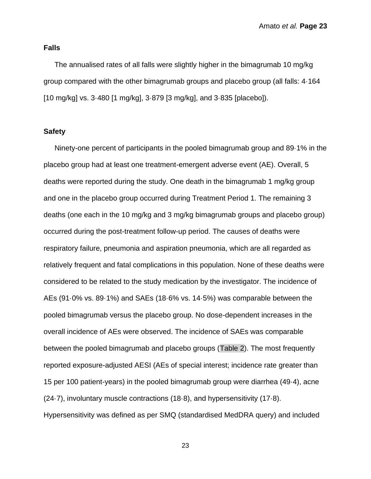#### **Falls**

The annualised rates of all falls were slightly higher in the bimagrumab 10 mg/kg group compared with the other bimagrumab groups and placebo group (all falls: 4·164 [10 mg/kg] vs. 3·480 [1 mg/kg], 3·879 [3 mg/kg], and 3·835 [placebo]).

### **Safety**

Ninety-one percent of participants in the pooled bimagrumab group and 89·1% in the placebo group had at least one treatment-emergent adverse event (AE). Overall, 5 deaths were reported during the study. One death in the bimagrumab 1 mg/kg group and one in the placebo group occurred during Treatment Period 1. The remaining 3 deaths (one each in the 10 mg/kg and 3 mg/kg bimagrumab groups and placebo group) occurred during the post-treatment follow-up period. The causes of deaths were respiratory failure, pneumonia and aspiration pneumonia, which are all regarded as relatively frequent and fatal complications in this population. None of these deaths were considered to be related to the study medication by the investigator. The incidence of AEs (91·0% vs. 89·1%) and SAEs (18·6% vs. 14·5%) was comparable between the pooled bimagrumab versus the placebo group. No dose-dependent increases in the overall incidence of AEs were observed. The incidence of SAEs was comparable between the pooled bimagrumab and placebo groups (Table 2). The most frequently reported exposure-adjusted AESI (AEs of special interest; incidence rate greater than 15 per 100 patient-years) in the pooled bimagrumab group were diarrhea (49·4), acne (24·7), involuntary muscle contractions (18·8), and hypersensitivity (17·8). Hypersensitivity was defined as per SMQ (standardised MedDRA query) and included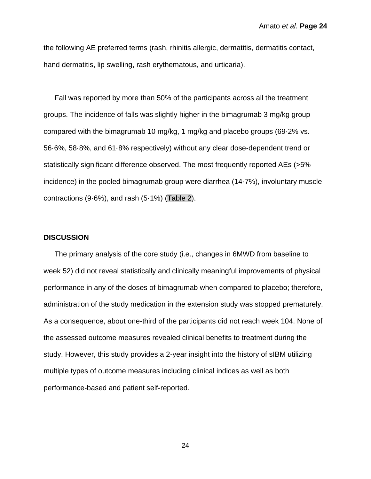the following AE preferred terms (rash, rhinitis allergic, dermatitis, dermatitis contact, hand dermatitis, lip swelling, rash erythematous, and urticaria).

Fall was reported by more than 50% of the participants across all the treatment groups. The incidence of falls was slightly higher in the bimagrumab 3 mg/kg group compared with the bimagrumab 10 mg/kg, 1 mg/kg and placebo groups (69·2% vs. 56·6%, 58·8%, and 61·8% respectively) without any clear dose-dependent trend or statistically significant difference observed. The most frequently reported AEs (>5% incidence) in the pooled bimagrumab group were diarrhea (14·7%), involuntary muscle contractions (9·6%), and rash (5·1%) (Table 2).

# **DISCUSSION**

The primary analysis of the core study (i.e., changes in 6MWD from baseline to week 52) did not reveal statistically and clinically meaningful improvements of physical performance in any of the doses of bimagrumab when compared to placebo; therefore, administration of the study medication in the extension study was stopped prematurely. As a consequence, about one-third of the participants did not reach week 104. None of the assessed outcome measures revealed clinical benefits to treatment during the study. However, this study provides a 2-year insight into the history of sIBM utilizing multiple types of outcome measures including clinical indices as well as both performance-based and patient self-reported.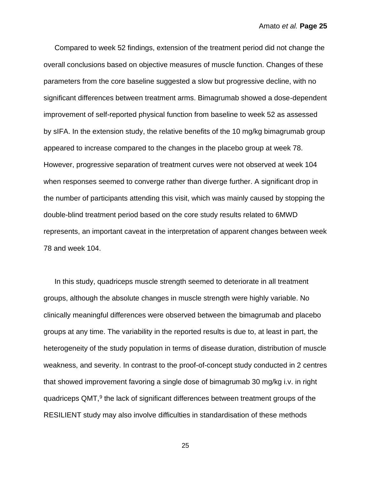Compared to week 52 findings, extension of the treatment period did not change the overall conclusions based on objective measures of muscle function. Changes of these parameters from the core baseline suggested a slow but progressive decline, with no significant differences between treatment arms. Bimagrumab showed a dose-dependent improvement of self-reported physical function from baseline to week 52 as assessed by sIFA. In the extension study, the relative benefits of the 10 mg/kg bimagrumab group appeared to increase compared to the changes in the placebo group at week 78. However, progressive separation of treatment curves were not observed at week 104 when responses seemed to converge rather than diverge further. A significant drop in the number of participants attending this visit, which was mainly caused by stopping the double-blind treatment period based on the core study results related to 6MWD represents, an important caveat in the interpretation of apparent changes between week 78 and week 104.

In this study, quadriceps muscle strength seemed to deteriorate in all treatment groups, although the absolute changes in muscle strength were highly variable. No clinically meaningful differences were observed between the bimagrumab and placebo groups at any time. The variability in the reported results is due to, at least in part, the heterogeneity of the study population in terms of disease duration, distribution of muscle weakness, and severity. In contrast to the proof-of-concept study conducted in 2 centres that showed improvement favoring a single dose of bimagrumab 30 mg/kg i.v. in right quadriceps QMT,<sup>9</sup> the lack of significant differences between treatment groups of the RESILIENT study may also involve difficulties in standardisation of these methods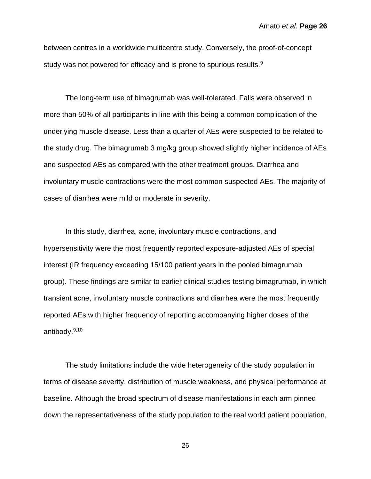between centres in a worldwide multicentre study. Conversely, the proof-of-concept study was not powered for efficacy and is prone to spurious results.<sup>9</sup>

The long-term use of bimagrumab was well-tolerated. Falls were observed in more than 50% of all participants in line with this being a common complication of the underlying muscle disease. Less than a quarter of AEs were suspected to be related to the study drug. The bimagrumab 3 mg/kg group showed slightly higher incidence of AEs and suspected AEs as compared with the other treatment groups. Diarrhea and involuntary muscle contractions were the most common suspected AEs. The majority of cases of diarrhea were mild or moderate in severity.

In this study, diarrhea, acne, involuntary muscle contractions, and hypersensitivity were the most frequently reported exposure-adjusted AEs of special interest (IR frequency exceeding 15/100 patient years in the pooled bimagrumab group). These findings are similar to earlier clinical studies testing bimagrumab, in which transient acne, involuntary muscle contractions and diarrhea were the most frequently reported AEs with higher frequency of reporting accompanying higher doses of the antibody.9,10

The study limitations include the wide heterogeneity of the study population in terms of disease severity, distribution of muscle weakness, and physical performance at baseline. Although the broad spectrum of disease manifestations in each arm pinned down the representativeness of the study population to the real world patient population,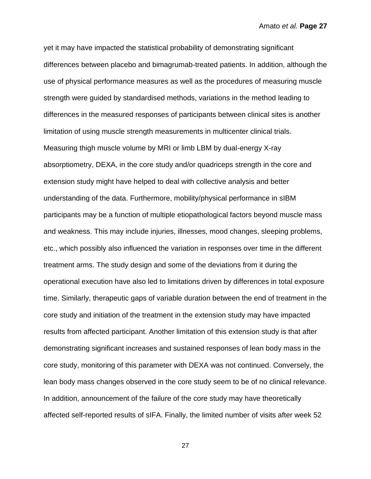yet it may have impacted the statistical probability of demonstrating significant differences between placebo and bimagrumab-treated patients. In addition, although the use of physical performance measures as well as the procedures of measuring muscle strength were guided by standardised methods, variations in the method leading to differences in the measured responses of participants between clinical sites is another limitation of using muscle strength measurements in multicenter clinical trials. Measuring thigh muscle volume by MRI or limb LBM by dual-energy X-ray absorptiometry, DEXA, in the core study and/or quadriceps strength in the core and extension study might have helped to deal with collective analysis and better understanding of the data. Furthermore, mobility/physical performance in sIBM participants may be a function of multiple etiopathological factors beyond muscle mass and weakness. This may include injuries, illnesses, mood changes, sleeping problems, etc., which possibly also influenced the variation in responses over time in the different treatment arms. The study design and some of the deviations from it during the operational execution have also led to limitations driven by differences in total exposure time. Similarly, therapeutic gaps of variable duration between the end of treatment in the core study and initiation of the treatment in the extension study may have impacted results from affected participant. Another limitation of this extension study is that after demonstrating significant increases and sustained responses of lean body mass in the core study, monitoring of this parameter with DEXA was not continued. Conversely, the lean body mass changes observed in the core study seem to be of no clinical relevance. In addition, announcement of the failure of the core study may have theoretically affected self-reported results of sIFA. Finally, the limited number of visits after week 52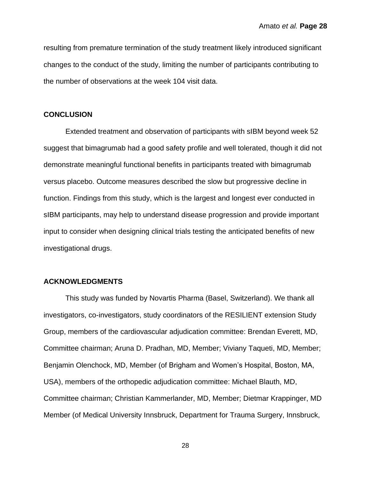resulting from premature termination of the study treatment likely introduced significant changes to the conduct of the study, limiting the number of participants contributing to the number of observations at the week 104 visit data.

# **CONCLUSION**

Extended treatment and observation of participants with sIBM beyond week 52 suggest that bimagrumab had a good safety profile and well tolerated, though it did not demonstrate meaningful functional benefits in participants treated with bimagrumab versus placebo. Outcome measures described the slow but progressive decline in function. Findings from this study, which is the largest and longest ever conducted in sIBM participants, may help to understand disease progression and provide important input to consider when designing clinical trials testing the anticipated benefits of new investigational drugs.

#### **ACKNOWLEDGMENTS**

This study was funded by Novartis Pharma (Basel, Switzerland). We thank all investigators, co-investigators, study coordinators of the RESILIENT extension Study Group, members of the cardiovascular adjudication committee: Brendan Everett, MD, Committee chairman; Aruna D. Pradhan, MD, Member; Viviany Taqueti, MD, Member; Benjamin Olenchock, MD, Member (of Brigham and Women's Hospital, Boston, MA, USA), members of the orthopedic adjudication committee: Michael Blauth, MD, Committee chairman; Christian Kammerlander, MD, Member; Dietmar Krappinger, MD Member (of Medical University Innsbruck, Department for Trauma Surgery, Innsbruck,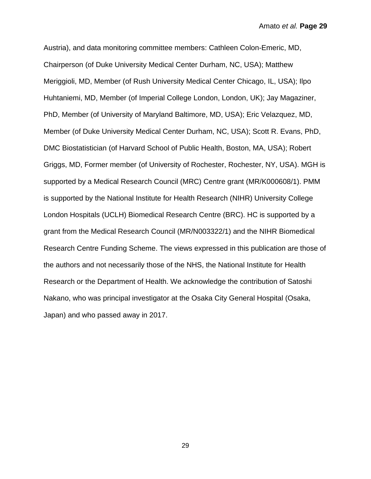Austria), and data monitoring committee members: Cathleen Colon-Emeric, MD, Chairperson (of Duke University Medical Center Durham, NC, USA); Matthew Meriggioli, MD, Member (of Rush University Medical Center Chicago, IL, USA); Ilpo Huhtaniemi, MD, Member (of Imperial College London, London, UK); Jay Magaziner, PhD, Member (of University of Maryland Baltimore, MD, USA); Eric Velazquez, MD, Member (of Duke University Medical Center Durham, NC, USA); Scott R. Evans, PhD, DMC Biostatistician (of Harvard School of Public Health, Boston, MA, USA); Robert Griggs, MD, Former member (of University of Rochester, Rochester, NY, USA). MGH is supported by a Medical Research Council (MRC) Centre grant (MR/K000608/1). PMM is supported by the National Institute for Health Research (NIHR) University College London Hospitals (UCLH) Biomedical Research Centre (BRC). HC is supported by a grant from the Medical Research Council (MR/N003322/1) and the NIHR Biomedical Research Centre Funding Scheme. The views expressed in this publication are those of the authors and not necessarily those of the NHS, the National Institute for Health Research or the Department of Health. We acknowledge the contribution of Satoshi Nakano, who was principal investigator at the Osaka City General Hospital (Osaka, Japan) and who passed away in 2017.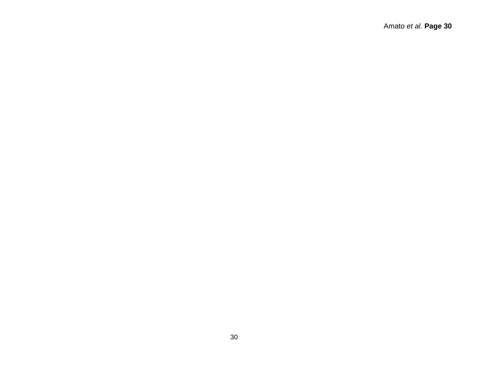Amato *et al.* **Page 30**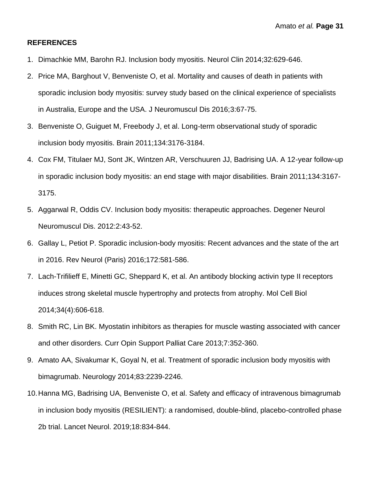# **REFERENCES**

- 1. Dimachkie MM, Barohn RJ. Inclusion body myositis. Neurol Clin 2014;32:629-646.
- 2. Price MA, Barghout V, Benveniste O, et al. Mortality and causes of death in patients with sporadic inclusion body myositis: survey study based on the clinical experience of specialists in Australia, Europe and the USA. J Neuromuscul Dis 2016;3:67-75.
- 3. Benveniste O, Guiguet M, Freebody J, et al. Long-term observational study of sporadic inclusion body myositis. Brain 2011;134:3176-3184.
- 4. Cox FM, Titulaer MJ, Sont JK, Wintzen AR, Verschuuren JJ, Badrising UA. A 12-year follow-up in sporadic inclusion body myositis: an end stage with major disabilities. Brain 2011;134:3167- 3175.
- 5. Aggarwal R, Oddis CV. Inclusion body myositis: therapeutic approaches. Degener Neurol Neuromuscul Dis. 2012:2:43-52.
- 6. Gallay L, Petiot P. Sporadic inclusion-body myositis: Recent advances and the state of the art in 2016. Rev Neurol (Paris) 2016;172:581-586.
- 7. Lach-Trifilieff E, Minetti GC, Sheppard K, et al. An antibody blocking activin type II receptors induces strong skeletal muscle hypertrophy and protects from atrophy. Mol Cell Biol 2014;34(4):606-618.
- 8. Smith RC, Lin BK. Myostatin inhibitors as therapies for muscle wasting associated with cancer and other disorders. Curr Opin Support Palliat Care 2013;7:352-360.
- 9. Amato AA, Sivakumar K, Goyal N, et al. Treatment of sporadic inclusion body myositis with bimagrumab. Neurology 2014;83:2239-2246.
- 10.Hanna MG, Badrising UA, Benveniste O, et al. Safety and efficacy of intravenous bimagrumab in inclusion body myositis (RESILIENT): a randomised, double-blind, placebo-controlled phase 2b trial. Lancet Neurol. 2019;18:834-844.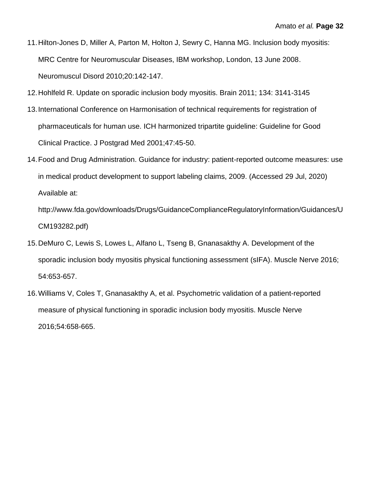- 11.Hilton-Jones D, Miller A, Parton M, Holton J, Sewry C, Hanna MG. Inclusion body myositis: MRC Centre for Neuromuscular Diseases, IBM workshop, London, 13 June 2008. Neuromuscul Disord 2010;20:142-147.
- 12.Hohlfeld R. Update on sporadic inclusion body myositis. Brain 2011; 134: 3141-3145
- 13.International Conference on Harmonisation of technical requirements for registration of pharmaceuticals for human use. ICH harmonized tripartite guideline: Guideline for Good Clinical Practice. J Postgrad Med 2001;47:45-50.
- 14.Food and Drug Administration. Guidance for industry: patient-reported outcome measures: use in medical product development to support labeling claims, 2009. (Accessed 29 Jul, 2020) Available at:

http://www.fda.gov/downloads/Drugs/GuidanceComplianceRegulatoryInformation/Guidances/U CM193282.pdf)

- 15.DeMuro C, Lewis S, Lowes L, Alfano L, Tseng B, Gnanasakthy A. Development of the sporadic inclusion body myositis physical functioning assessment (sIFA). Muscle Nerve 2016; 54:653-657.
- 16.Williams V, Coles T, Gnanasakthy A, et al. Psychometric validation of a patient-reported measure of physical functioning in sporadic inclusion body myositis. Muscle Nerve 2016;54:658-665.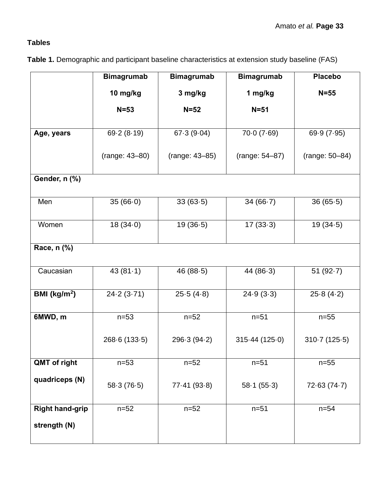# **Tables**

**Table 1.** Demographic and participant baseline characteristics at extension study baseline (FAS)

|                        | <b>Bimagrumab</b> | <b>Bimagrumab</b> | <b>Bimagrumab</b> | <b>Placebo</b> |
|------------------------|-------------------|-------------------|-------------------|----------------|
|                        | 10 mg/kg          | 3 mg/kg           | 1 mg/kg           | $N=55$         |
|                        | $N=53$            | $N=52$            | $N=51$            |                |
| Age, years             | 69.2(8.19)        | 67.3(9.04)        | 70.0(7.69)        | 69.9 (7.95)    |
|                        |                   |                   |                   |                |
|                        | (range: 43-80)    | (range: 43-85)    | (range: 54-87)    | (range: 50-84) |
| Gender, n (%)          |                   |                   |                   |                |
| Men                    | 35(66.0)          | 33(63.5)          | $34(66-7)$        | 36(65.5)       |
|                        |                   |                   |                   |                |
| Women                  | $18(34-0)$        | 19(36.5)          | 17(33.3)          | 19(34.5)       |
| Race, n (%)            |                   |                   |                   |                |
| Caucasian              | $43(81-1)$        | 46(88.5)          | $44(86-3)$        | 51(92.7)       |
| BMI ( $kg/m2$ )        | 24.2(3.71)        | 25.5(4.8)         | 24.9(3.3)         | 25.8(4.2)      |
| 6MWD, m                | $n=53$            | $n=52$            | $n = 51$          | $n=55$         |
|                        | 268.6(133.5)      | 296.3(94.2)       | 315.44(125.0)     | 310.7(125.5)   |
| <b>QMT of right</b>    | $n=53$            | $n=52$            | $n = 51$          | $n=55$         |
| quadriceps (N)         | 58.3(76.5)        | 77.41(93.8)       | 58.1(55.3)        | 72.63(74.7)    |
| <b>Right hand-grip</b> | $n=52$            | $n=52$            | $n=51$            | $n=54$         |
| strength (N)           |                   |                   |                   |                |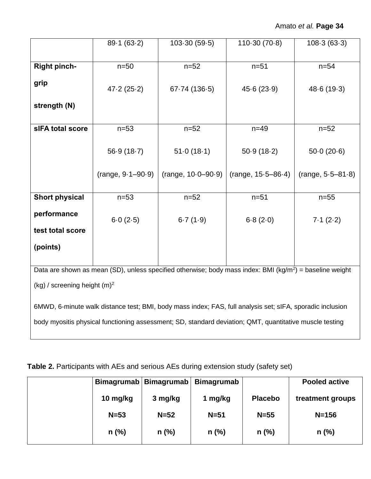Amato *et al.* **Page 34**

|                                                                                                             | 89.1(63.2)        | 103.30(59.5)           | 110.30(70.8)         | 108.3(63.3)         |  |
|-------------------------------------------------------------------------------------------------------------|-------------------|------------------------|----------------------|---------------------|--|
| <b>Right pinch-</b>                                                                                         | $n=50$            | $n=52$                 | $n = 51$             | $n = 54$            |  |
| grip                                                                                                        | 47.2(25.2)        | 67.74(136.5)           | 45.6(23.9)           | 48.6(19.3)          |  |
| strength (N)                                                                                                |                   |                        |                      |                     |  |
| sIFA total score                                                                                            | $n=53$            | $n = 52$               | $n=49$               | $n = 52$            |  |
|                                                                                                             | 56.9(18.7)        | 51.0(18.1)             | 50.9(18.2)           | 50.0(20.6)          |  |
|                                                                                                             | (range, 9.1–90.9) | $(range, 10.0 - 90.9)$ | $(range, 15.5-86.4)$ | $(range, 5.5-81.8)$ |  |
| <b>Short physical</b>                                                                                       | $n=53$            | $n = 52$               | $n = 51$             | $n=55$              |  |
| performance                                                                                                 | 6.0(2.5)          | 6.7(1.9)               | 6.8(2.0)             | 7.1(2.2)            |  |
| test total score                                                                                            |                   |                        |                      |                     |  |
| (points)                                                                                                    |                   |                        |                      |                     |  |
| Data are shown as mean (SD), unless specified otherwise; body mass index: BMI ( $kg/m2$ ) = baseline weight |                   |                        |                      |                     |  |
| (kg) / screening height $(m)^2$                                                                             |                   |                        |                      |                     |  |
| 6MWD, 6-minute walk distance test; BMI, body mass index; FAS, full analysis set; sIFA, sporadic inclusion   |                   |                        |                      |                     |  |
| body myositis physical functioning assessment; SD, standard deviation; QMT, quantitative muscle testing     |                   |                        |                      |                     |  |

**Table 2.** Participants with AEs and serious AEs during extension study (safety set)

|          | Bimagrumab   Bimagrumab | Bimagrumab |                | <b>Pooled active</b> |
|----------|-------------------------|------------|----------------|----------------------|
| 10 mg/kg | 3 mg/kg                 | mg/kg      | <b>Placebo</b> | treatment groups     |
| $N=53$   | $N=52$                  | $N=51$     | $N=55$         | $N = 156$            |
| $n$ (%)  | $n$ (%)                 | $n$ (%)    | $n$ (%)        | $n$ (%)              |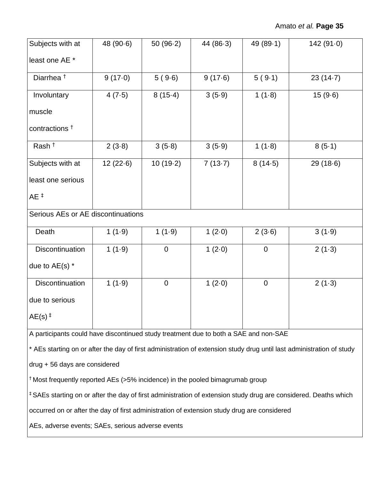| Subjects with at                                                                                                      | 48 $(90.6)$ | $50(96-2)$       | 44 (86-3) | 49 (89-1)        | $142(91-0)$ |
|-----------------------------------------------------------------------------------------------------------------------|-------------|------------------|-----------|------------------|-------------|
| least one AE <sup>*</sup>                                                                                             |             |                  |           |                  |             |
| Diarrhea <sup>+</sup>                                                                                                 | 9(17.0)     | 5(9.6)           | 9(17.6)   | 5(9.1)           | $23(14-7)$  |
| Involuntary                                                                                                           | 4(7.5)      | 8(15.4)          | 3(5.9)    | 1(1.8)           | 15(9.6)     |
| muscle                                                                                                                |             |                  |           |                  |             |
| contractions <sup>†</sup>                                                                                             |             |                  |           |                  |             |
| Rash <sup>+</sup>                                                                                                     | 2(3.8)      | 3(5.8)           | 3(5.9)    | 1(1.8)           | 8(5.1)      |
| Subjects with at                                                                                                      | 12(22.6)    | $10(19-2)$       | 7(13.7)   | 8(14.5)          | 29(18.6)    |
| least one serious                                                                                                     |             |                  |           |                  |             |
| AE <sup>+</sup>                                                                                                       |             |                  |           |                  |             |
| Serious AEs or AE discontinuations                                                                                    |             |                  |           |                  |             |
| Death                                                                                                                 | $1(1-9)$    | 1(1.9)           | $1(2-0)$  | 2(3.6)           | 3(1.9)      |
| Discontinuation                                                                                                       | 1(1.9)      | $\boldsymbol{0}$ | $1(2-0)$  | $\mathbf 0$      | $2(1-3)$    |
| due to $AE(s)$ *                                                                                                      |             |                  |           |                  |             |
| Discontinuation                                                                                                       | $1(1-9)$    | $\boldsymbol{0}$ | $1(2-0)$  | $\boldsymbol{0}$ | $2(1-3)$    |
| due to serious                                                                                                        |             |                  |           |                  |             |
| $AE(s)$ <sup><math>\ddagger</math></sup>                                                                              |             |                  |           |                  |             |
| A participants could have discontinued study treatment due to both a SAE and non-SAE                                  |             |                  |           |                  |             |
| * AEs starting on or after the day of first administration of extension study drug until last administration of study |             |                  |           |                  |             |

drug + 56 days are considered

† Most frequently reported AEs (>5% incidence) in the pooled bimagrumab group

‡ SAEs starting on or after the day of first administration of extension study drug are considered. Deaths which

occurred on or after the day of first administration of extension study drug are considered

AEs, adverse events; SAEs, serious adverse events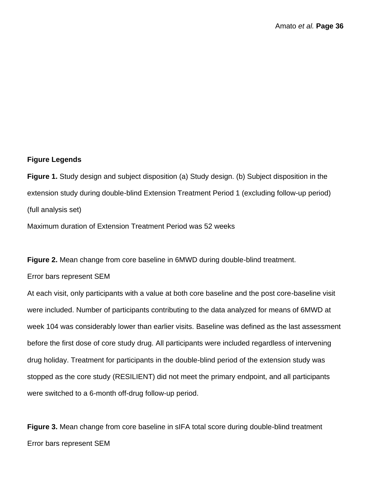# **Figure Legends**

**Figure 1.** Study design and subject disposition (a) Study design. (b) Subject disposition in the extension study during double-blind Extension Treatment Period 1 (excluding follow-up period) (full analysis set)

Maximum duration of Extension Treatment Period was 52 weeks

**Figure 2.** Mean change from core baseline in 6MWD during double-blind treatment.

Error bars represent SEM

At each visit, only participants with a value at both core baseline and the post core-baseline visit were included. Number of participants contributing to the data analyzed for means of 6MWD at week 104 was considerably lower than earlier visits. Baseline was defined as the last assessment before the first dose of core study drug. All participants were included regardless of intervening drug holiday. Treatment for participants in the double-blind period of the extension study was stopped as the core study (RESILIENT) did not meet the primary endpoint, and all participants were switched to a 6-month off-drug follow-up period.

**Figure 3.** Mean change from core baseline in sIFA total score during double-blind treatment Error bars represent SEM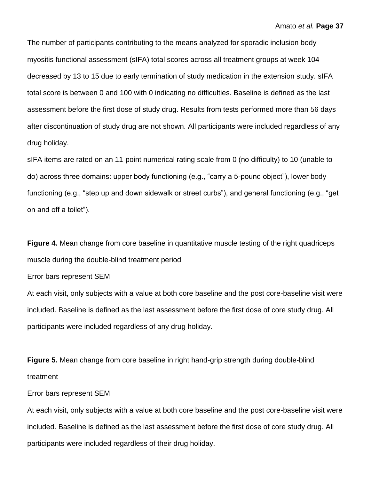The number of participants contributing to the means analyzed for sporadic inclusion body myositis functional assessment (sIFA) total scores across all treatment groups at week 104 decreased by 13 to 15 due to early termination of study medication in the extension study. sIFA total score is between 0 and 100 with 0 indicating no difficulties. Baseline is defined as the last assessment before the first dose of study drug. Results from tests performed more than 56 days after discontinuation of study drug are not shown. All participants were included regardless of any drug holiday.

sIFA items are rated on an 11-point numerical rating scale from 0 (no difficulty) to 10 (unable to do) across three domains: upper body functioning (e.g., "carry a 5-pound object"), lower body functioning (e.g., "step up and down sidewalk or street curbs"), and general functioning (e.g., "get on and off a toilet").

**Figure 4.** Mean change from core baseline in quantitative muscle testing of the right quadriceps muscle during the double-blind treatment period

Error bars represent SEM

At each visit, only subjects with a value at both core baseline and the post core-baseline visit were included. Baseline is defined as the last assessment before the first dose of core study drug. All participants were included regardless of any drug holiday.

**Figure 5.** Mean change from core baseline in right hand-grip strength during double-blind treatment

Error bars represent SEM

At each visit, only subjects with a value at both core baseline and the post core-baseline visit were included. Baseline is defined as the last assessment before the first dose of core study drug. All participants were included regardless of their drug holiday.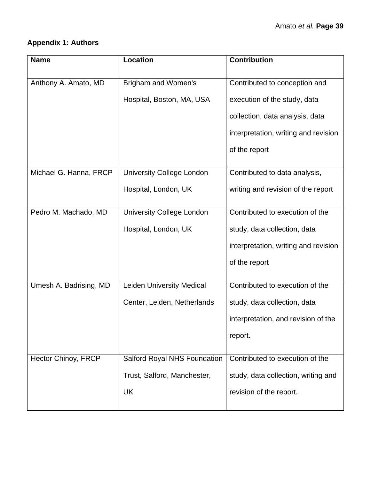# **Appendix 1: Authors**

| <b>Name</b>            | <b>Location</b>                     | <b>Contribution</b>                  |
|------------------------|-------------------------------------|--------------------------------------|
| Anthony A. Amato, MD   | Brigham and Women's                 | Contributed to conception and        |
|                        | Hospital, Boston, MA, USA           | execution of the study, data         |
|                        |                                     |                                      |
|                        |                                     | collection, data analysis, data      |
|                        |                                     | interpretation, writing and revision |
|                        |                                     | of the report                        |
| Michael G. Hanna, FRCP | <b>University College London</b>    | Contributed to data analysis,        |
|                        |                                     |                                      |
|                        | Hospital, London, UK                | writing and revision of the report   |
| Pedro M. Machado, MD   | <b>University College London</b>    | Contributed to execution of the      |
|                        | Hospital, London, UK                | study, data collection, data         |
|                        |                                     | interpretation, writing and revision |
|                        |                                     | of the report                        |
|                        |                                     | Contributed to execution of the      |
| Umesh A. Badrising, MD | <b>Leiden University Medical</b>    |                                      |
|                        | Center, Leiden, Netherlands         | study, data collection, data         |
|                        |                                     | interpretation, and revision of the  |
|                        |                                     | report.                              |
|                        |                                     | Contributed to execution of the      |
| Hector Chinoy, FRCP    | <b>Salford Royal NHS Foundation</b> |                                      |
|                        | Trust, Salford, Manchester,         | study, data collection, writing and  |
|                        | <b>UK</b>                           | revision of the report.              |
|                        |                                     |                                      |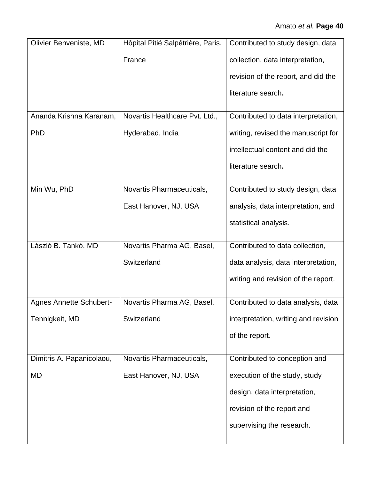| Olivier Benveniste, MD         | Hôpital Pitié Salpêtrière, Paris, | Contributed to study design, data    |
|--------------------------------|-----------------------------------|--------------------------------------|
|                                | France                            | collection, data interpretation,     |
|                                |                                   | revision of the report, and did the  |
|                                |                                   | literature search.                   |
| Ananda Krishna Karanam,        | Novartis Healthcare Pvt. Ltd.,    | Contributed to data interpretation,  |
| PhD                            | Hyderabad, India                  | writing, revised the manuscript for  |
|                                |                                   | intellectual content and did the     |
|                                |                                   | literature search.                   |
| Min Wu, PhD                    | Novartis Pharmaceuticals,         | Contributed to study design, data    |
|                                | East Hanover, NJ, USA             | analysis, data interpretation, and   |
|                                |                                   | statistical analysis.                |
| László B. Tankó, MD            | Novartis Pharma AG, Basel,        | Contributed to data collection,      |
|                                | Switzerland                       | data analysis, data interpretation,  |
|                                |                                   | writing and revision of the report.  |
| <b>Agnes Annette Schubert-</b> | Novartis Pharma AG, Basel,        | Contributed to data analysis, data   |
| Tennigkeit, MD                 | Switzerland                       | interpretation, writing and revision |
|                                |                                   | of the report.                       |
| Dimitris A. Papanicolaou,      | Novartis Pharmaceuticals,         | Contributed to conception and        |
| MD                             | East Hanover, NJ, USA             | execution of the study, study        |
|                                |                                   | design, data interpretation,         |
|                                |                                   | revision of the report and           |
|                                |                                   | supervising the research.            |
|                                |                                   |                                      |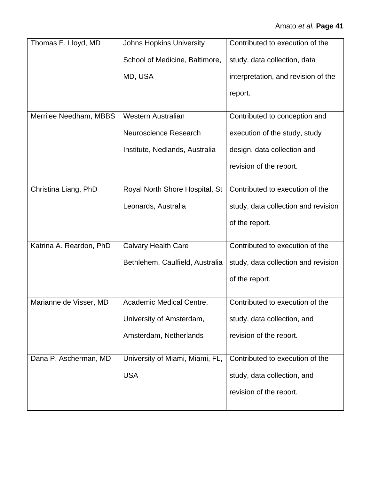| Thomas E. Lloyd, MD     | <b>Johns Hopkins University</b> | Contributed to execution of the     |
|-------------------------|---------------------------------|-------------------------------------|
|                         | School of Medicine, Baltimore,  | study, data collection, data        |
|                         | MD, USA                         | interpretation, and revision of the |
|                         |                                 | report.                             |
|                         |                                 |                                     |
| Merrilee Needham, MBBS  | <b>Western Australian</b>       | Contributed to conception and       |
|                         | Neuroscience Research           | execution of the study, study       |
|                         | Institute, Nedlands, Australia  | design, data collection and         |
|                         |                                 | revision of the report.             |
| Christina Liang, PhD    | Royal North Shore Hospital, St  | Contributed to execution of the     |
|                         |                                 |                                     |
|                         | Leonards, Australia             | study, data collection and revision |
|                         |                                 | of the report.                      |
|                         |                                 |                                     |
| Katrina A. Reardon, PhD | <b>Calvary Health Care</b>      | Contributed to execution of the     |
|                         | Bethlehem, Caulfield, Australia | study, data collection and revision |
|                         |                                 | of the report.                      |
|                         |                                 |                                     |
| Marianne de Visser, MD  | Academic Medical Centre,        | Contributed to execution of the     |
|                         | University of Amsterdam,        | study, data collection, and         |
|                         | Amsterdam, Netherlands          | revision of the report.             |
|                         |                                 |                                     |
| Dana P. Ascherman, MD   | University of Miami, Miami, FL, | Contributed to execution of the     |
|                         | <b>USA</b>                      | study, data collection, and         |
|                         |                                 | revision of the report.             |
|                         |                                 |                                     |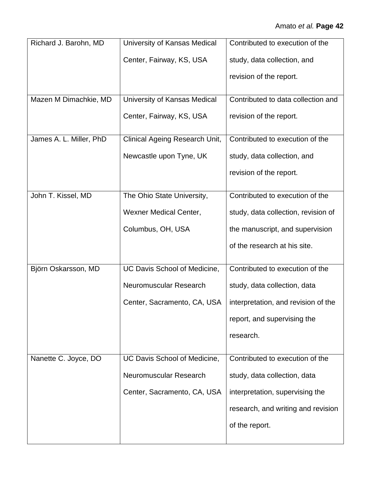| Richard J. Barohn, MD   | University of Kansas Medical   | Contributed to execution of the     |
|-------------------------|--------------------------------|-------------------------------------|
|                         | Center, Fairway, KS, USA       | study, data collection, and         |
|                         |                                | revision of the report.             |
|                         |                                |                                     |
| Mazen M Dimachkie, MD   | University of Kansas Medical   | Contributed to data collection and  |
|                         | Center, Fairway, KS, USA       | revision of the report.             |
|                         |                                |                                     |
| James A. L. Miller, PhD | Clinical Ageing Research Unit, | Contributed to execution of the     |
|                         | Newcastle upon Tyne, UK        | study, data collection, and         |
|                         |                                | revision of the report.             |
|                         |                                |                                     |
| John T. Kissel, MD      | The Ohio State University,     | Contributed to execution of the     |
|                         | <b>Wexner Medical Center,</b>  | study, data collection, revision of |
|                         | Columbus, OH, USA              | the manuscript, and supervision     |
|                         |                                | of the research at his site.        |
|                         |                                |                                     |
| Björn Oskarsson, MD     | UC Davis School of Medicine,   | Contributed to execution of the     |
|                         | Neuromuscular Research         | study, data collection, data        |
|                         | Center, Sacramento, CA, USA    | interpretation, and revision of the |
|                         |                                | report, and supervising the         |
|                         |                                | research.                           |
|                         |                                |                                     |
| Nanette C. Joyce, DO    | UC Davis School of Medicine,   | Contributed to execution of the     |
|                         | Neuromuscular Research         | study, data collection, data        |
|                         | Center, Sacramento, CA, USA    | interpretation, supervising the     |
|                         |                                | research, and writing and revision  |
|                         |                                | of the report.                      |
|                         |                                |                                     |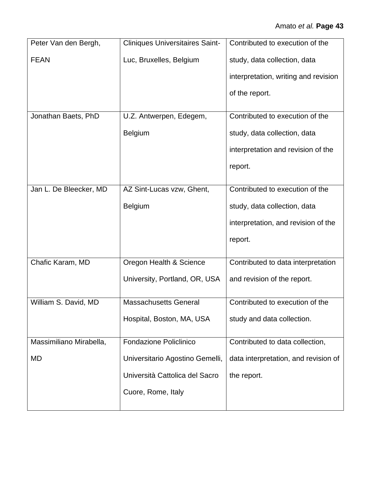| Peter Van den Bergh,    | <b>Cliniques Universitaires Saint-</b> | Contributed to execution of the      |
|-------------------------|----------------------------------------|--------------------------------------|
| <b>FEAN</b>             | Luc, Bruxelles, Belgium                | study, data collection, data         |
|                         |                                        | interpretation, writing and revision |
|                         |                                        | of the report.                       |
|                         |                                        |                                      |
| Jonathan Baets, PhD     | U.Z. Antwerpen, Edegem,                | Contributed to execution of the      |
|                         | <b>Belgium</b>                         | study, data collection, data         |
|                         |                                        | interpretation and revision of the   |
|                         |                                        | report.                              |
|                         |                                        |                                      |
| Jan L. De Bleecker, MD  | AZ Sint-Lucas vzw, Ghent,              | Contributed to execution of the      |
|                         | <b>Belgium</b>                         | study, data collection, data         |
|                         |                                        | interpretation, and revision of the  |
|                         |                                        | report.                              |
|                         |                                        |                                      |
| Chafic Karam, MD        | Oregon Health & Science                | Contributed to data interpretation   |
|                         | University, Portland, OR, USA          | and revision of the report.          |
|                         |                                        |                                      |
| William S. David, MD    | <b>Massachusetts General</b>           | Contributed to execution of the      |
|                         | Hospital, Boston, MA, USA              | study and data collection.           |
|                         |                                        |                                      |
| Massimiliano Mirabella, | <b>Fondazione Policlinico</b>          | Contributed to data collection,      |
| MD                      | Universitario Agostino Gemelli,        | data interpretation, and revision of |
|                         | Università Cattolica del Sacro         | the report.                          |
|                         | Cuore, Rome, Italy                     |                                      |
|                         |                                        |                                      |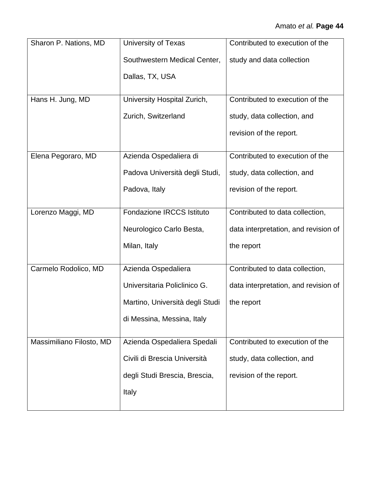| Sharon P. Nations, MD    | <b>University of Texas</b>      | Contributed to execution of the      |
|--------------------------|---------------------------------|--------------------------------------|
|                          | Southwestern Medical Center,    | study and data collection            |
|                          | Dallas, TX, USA                 |                                      |
|                          |                                 |                                      |
| Hans H. Jung, MD         | University Hospital Zurich,     | Contributed to execution of the      |
|                          | Zurich, Switzerland             | study, data collection, and          |
|                          |                                 | revision of the report.              |
| Elena Pegoraro, MD       | Azienda Ospedaliera di          | Contributed to execution of the      |
|                          | Padova Università degli Studi,  | study, data collection, and          |
|                          | Padova, Italy                   | revision of the report.              |
| Lorenzo Maggi, MD        | Fondazione IRCCS Istituto       | Contributed to data collection,      |
|                          | Neurologico Carlo Besta,        | data interpretation, and revision of |
|                          | Milan, Italy                    | the report                           |
| Carmelo Rodolico, MD     | Azienda Ospedaliera             | Contributed to data collection,      |
|                          | Universitaria Policlinico G.    | data interpretation, and revision of |
|                          | Martino, Università degli Studi | the report                           |
|                          | di Messina, Messina, Italy      |                                      |
| Massimiliano Filosto, MD | Azienda Ospedaliera Spedali     | Contributed to execution of the      |
|                          | Civili di Brescia Università    | study, data collection, and          |
|                          | degli Studi Brescia, Brescia,   | revision of the report.              |
|                          | Italy                           |                                      |
|                          |                                 |                                      |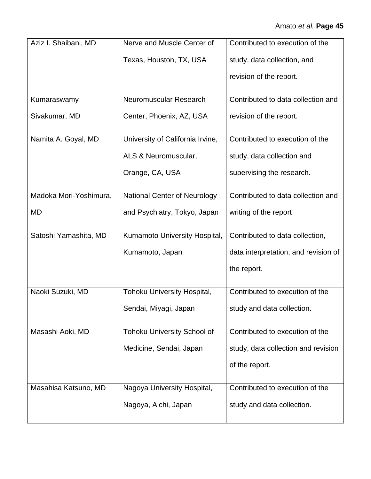| Aziz I. Shaibani, MD   | Nerve and Muscle Center of          | Contributed to execution of the      |
|------------------------|-------------------------------------|--------------------------------------|
|                        | Texas, Houston, TX, USA             | study, data collection, and          |
|                        |                                     | revision of the report.              |
|                        |                                     |                                      |
| Kumaraswamy            | Neuromuscular Research              | Contributed to data collection and   |
| Sivakumar, MD          | Center, Phoenix, AZ, USA            | revision of the report.              |
|                        |                                     |                                      |
| Namita A. Goyal, MD    | University of California Irvine,    | Contributed to execution of the      |
|                        | ALS & Neuromuscular,                | study, data collection and           |
|                        | Orange, CA, USA                     | supervising the research.            |
|                        |                                     |                                      |
| Madoka Mori-Yoshimura, | <b>National Center of Neurology</b> | Contributed to data collection and   |
| <b>MD</b>              | and Psychiatry, Tokyo, Japan        | writing of the report                |
|                        |                                     |                                      |
| Satoshi Yamashita, MD  | Kumamoto University Hospital,       | Contributed to data collection,      |
|                        | Kumamoto, Japan                     | data interpretation, and revision of |
|                        |                                     | the report.                          |
|                        |                                     |                                      |
| Naoki Suzuki, MD       | Tohoku University Hospital,         | Contributed to execution of the      |
|                        | Sendai, Miyagi, Japan               | study and data collection.           |
|                        |                                     |                                      |
| Masashi Aoki, MD       | <b>Tohoku University School of</b>  | Contributed to execution of the      |
|                        | Medicine, Sendai, Japan             | study, data collection and revision  |
|                        |                                     | of the report.                       |
|                        |                                     |                                      |
| Masahisa Katsuno, MD   | Nagoya University Hospital,         | Contributed to execution of the      |
|                        | Nagoya, Aichi, Japan                | study and data collection.           |
|                        |                                     |                                      |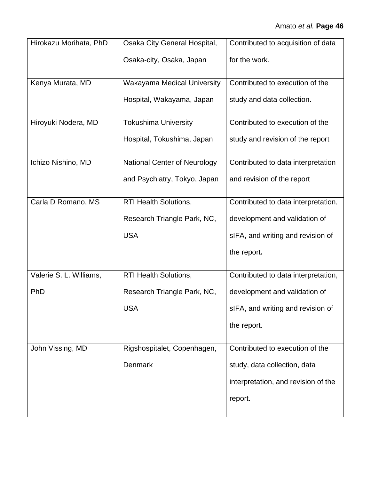| Hirokazu Morihata, PhD  | Osaka City General Hospital,        | Contributed to acquisition of data  |
|-------------------------|-------------------------------------|-------------------------------------|
|                         | Osaka-city, Osaka, Japan            | for the work.                       |
| Kenya Murata, MD        | <b>Wakayama Medical University</b>  | Contributed to execution of the     |
|                         | Hospital, Wakayama, Japan           | study and data collection.          |
| Hiroyuki Nodera, MD     | <b>Tokushima University</b>         | Contributed to execution of the     |
|                         | Hospital, Tokushima, Japan          | study and revision of the report    |
| Ichizo Nishino, MD      | <b>National Center of Neurology</b> | Contributed to data interpretation  |
|                         | and Psychiatry, Tokyo, Japan        | and revision of the report          |
| Carla D Romano, MS      | <b>RTI Health Solutions,</b>        | Contributed to data interpretation, |
|                         | Research Triangle Park, NC,         | development and validation of       |
|                         | <b>USA</b>                          | sIFA, and writing and revision of   |
|                         |                                     | the report.                         |
| Valerie S. L. Williams, | <b>RTI Health Solutions,</b>        | Contributed to data interpretation, |
| <b>PhD</b>              | Research Triangle Park, NC,         | development and validation of       |
|                         | <b>USA</b>                          | sIFA, and writing and revision of   |
|                         |                                     | the report.                         |
| John Vissing, MD        | Rigshospitalet, Copenhagen,         | Contributed to execution of the     |
|                         | Denmark                             | study, data collection, data        |
|                         |                                     | interpretation, and revision of the |
|                         |                                     | report.                             |
|                         |                                     |                                     |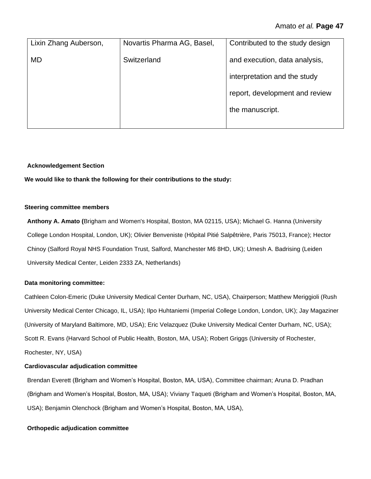| Lixin Zhang Auberson, | Novartis Pharma AG, Basel, | Contributed to the study design |
|-----------------------|----------------------------|---------------------------------|
| <b>MD</b>             | Switzerland                | and execution, data analysis,   |
|                       |                            | interpretation and the study    |
|                       |                            | report, development and review  |
|                       |                            | the manuscript.                 |
|                       |                            |                                 |

#### **Acknowledgement Section**

**We would like to thank the following for their contributions to the study:**

#### **Steering committee members**

**Anthony A. Amato (**Brigham and Women's Hospital, Boston, MA 02115, USA); Michael G. Hanna (University College London Hospital, London, UK); Olivier Benveniste (Hôpital Pitié Salpêtrière, Paris 75013, France); Hector Chinoy (Salford Royal NHS Foundation Trust, Salford, Manchester M6 8HD, UK); Umesh A. Badrising (Leiden University Medical Center, Leiden 2333 ZA, Netherlands)

#### **Data monitoring committee:**

Cathleen Colon-Emeric (Duke University Medical Center Durham, NC, USA), Chairperson; Matthew Meriggioli (Rush University Medical Center Chicago, IL, USA); Ilpo Huhtaniemi (Imperial College London, London, UK); Jay Magaziner (University of Maryland Baltimore, MD, USA); Eric Velazquez (Duke University Medical Center Durham, NC, USA); Scott R. Evans (Harvard School of Public Health, Boston, MA, USA); Robert Griggs (University of Rochester, Rochester, NY, USA)

#### **Cardiovascular adjudication committee**

Brendan Everett (Brigham and Women's Hospital, Boston, MA, USA), Committee chairman; Aruna D. Pradhan (Brigham and Women's Hospital, Boston, MA, USA); Viviany Taqueti (Brigham and Women's Hospital, Boston, MA, USA); Benjamin Olenchock (Brigham and Women's Hospital, Boston, MA, USA),

#### **Orthopedic adjudication committee**